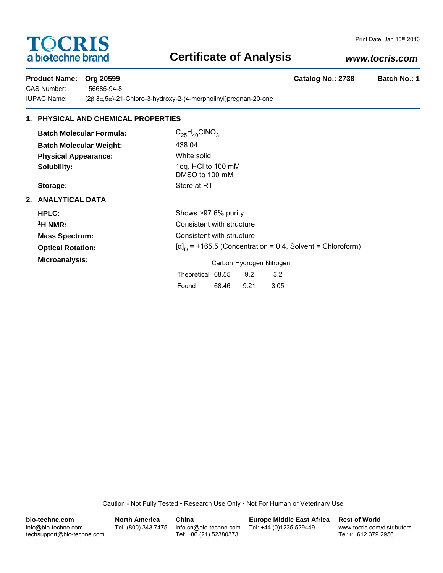# **TOCRIS** a biotechne brand

# **Certificate of Analysis**

### *www.tocris.com*

**Product Name: Org 20599 Catalog No.: 2738 Batch No.: 1** 

CAS Number: 156685-94-8

IUPAC Name: (2β,3α,5α)-21-Chloro-3-hydroxy-2-(4-morpholinyl)pregnan-20-one

## **1. PHYSICAL AND CHEMICAL PROPERTIES**

| <b>Batch Molecular Formula:</b> | $C_{25}H_{40}CINO_{3}$                                            |       |      |      |  |
|---------------------------------|-------------------------------------------------------------------|-------|------|------|--|
| <b>Batch Molecular Weight:</b>  | 438.04                                                            |       |      |      |  |
| <b>Physical Appearance:</b>     | White solid                                                       |       |      |      |  |
| Solubility:                     | 1eq. HCl to 100 mM<br>DMSO to 100 mM                              |       |      |      |  |
| Storage:                        | Store at RT                                                       |       |      |      |  |
| 2. ANALYTICAL DATA              |                                                                   |       |      |      |  |
| HPLC:                           | Shows >97.6% purity                                               |       |      |      |  |
| $\rm ^1H$ NMR:                  | Consistent with structure                                         |       |      |      |  |
| <b>Mass Spectrum:</b>           | Consistent with structure                                         |       |      |      |  |
| <b>Optical Rotation:</b>        | $[\alpha]_D$ = +165.5 (Concentration = 0.4, Solvent = Chloroform) |       |      |      |  |
| Microanalysis:                  | Carbon Hydrogen Nitrogen                                          |       |      |      |  |
|                                 | Theoretical 68.55                                                 |       | 9.2  | 3.2  |  |
|                                 | Found                                                             | 68.46 | 9.21 | 3.05 |  |

Caution - Not Fully Tested • Research Use Only • Not For Human or Veterinary Use

| bio-techne.com                                    | <b>North America</b> | China                                            | <b>Europe Middle East Africa</b> | <b>Rest of World</b>                               |
|---------------------------------------------------|----------------------|--------------------------------------------------|----------------------------------|----------------------------------------------------|
| info@bio-techne.com<br>techsupport@bio-techne.com | Tel: (800) 343 7475  | info.cn@bio-techne.com<br>Tel: +86 (21) 52380373 | Tel: +44 (0)1235 529449          | www.tocris.com/distributors<br>Tel:+1 612 379 2956 |